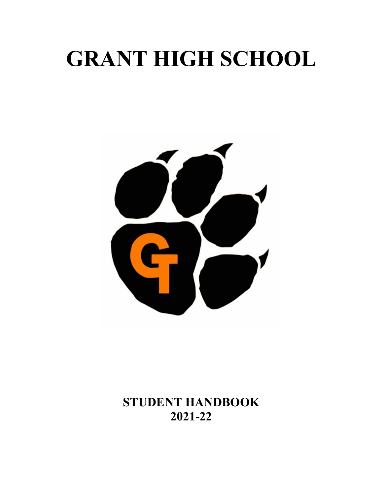# **GRANT HIGH SCHOOL**



**STUDENT HANDBOOK 2021-22**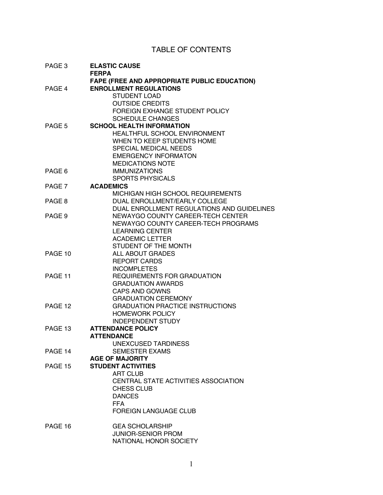#### TABLE OF CONTENTS

| PAGE 3  | <b>ELASTIC CAUSE</b><br><b>FERPA</b>                                      |
|---------|---------------------------------------------------------------------------|
|         | <b>FAPE (FREE AND APPROPRIATE PUBLIC EDUCATION)</b>                       |
| PAGE 4  | <b>ENROLLMENT REGULATIONS</b>                                             |
|         | <b>STUDENT LOAD</b>                                                       |
|         | <b>OUTSIDE CREDITS</b>                                                    |
|         | FOREIGN EXHANGE STUDENT POLICY                                            |
|         | <b>SCHEDULE CHANGES</b>                                                   |
| PAGE 5  | <b>SCHOOL HEALTH INFORMATION</b>                                          |
|         | HEALTHFUL SCHOOL ENVIRONMENT                                              |
|         | WHEN TO KEEP STUDENTS HOME                                                |
|         | SPECIAL MEDICAL NEEDS                                                     |
|         | <b>EMERGENCY INFORMATON</b>                                               |
|         | <b>MEDICATIONS NOTE</b>                                                   |
| PAGE 6  | <b>IMMUNIZATIONS</b>                                                      |
|         | <b>SPORTS PHYSICALS</b>                                                   |
| PAGE 7  | <b>ACADEMICS</b>                                                          |
|         | MICHIGAN HIGH SCHOOL REQUIREMENTS<br><b>DUAL ENROLLMENT/EARLY COLLEGE</b> |
| PAGE 8  | DUAL ENROLLMENT REGULATIONS AND GUIDELINES                                |
| PAGE 9  | NEWAYGO COUNTY CAREER-TECH CENTER                                         |
|         | NEWAYGO COUNTY CAREER-TECH PROGRAMS                                       |
|         | <b>LEARNING CENTER</b>                                                    |
|         | <b>ACADEMIC LETTER</b>                                                    |
|         | STUDENT OF THE MONTH                                                      |
| PAGE 10 | ALL ABOUT GRADES                                                          |
|         | <b>REPORT CARDS</b>                                                       |
|         | <b>INCOMPLETES</b>                                                        |
| PAGE 11 | REQUIREMENTS FOR GRADUATION                                               |
|         | <b>GRADUATION AWARDS</b>                                                  |
|         | <b>CAPS AND GOWNS</b>                                                     |
|         | <b>GRADUATION CEREMONY</b>                                                |
| PAGE 12 | <b>GRADUATION PRACTICE INSTRUCTIONS</b>                                   |
|         | <b>HOMEWORK POLICY</b>                                                    |
|         | <b>INDEPENDENT STUDY</b>                                                  |
| PAGE 13 | <b>ATTENDANCE POLICY</b>                                                  |
|         | <b>ATTENDANCE</b>                                                         |
|         | <b>UNEXCUSED TARDINESS</b>                                                |
| PAGE 14 | <b>SEMESTER EXAMS</b>                                                     |
|         | <b>AGE OF MAJORITY</b>                                                    |
| PAGE 15 | <b>STUDENT ACTIVITIES</b>                                                 |
|         | <b>ART CLUB</b>                                                           |
|         | CENTRAL STATE ACTIVITIES ASSOCIATION                                      |
|         | CHESS CLUB                                                                |
|         | <b>DANCES</b>                                                             |
|         | <b>FFA</b>                                                                |
|         | <b>FOREIGN LANGUAGE CLUB</b>                                              |
| PAGE 16 | <b>GEA SCHOLARSHIP</b>                                                    |
|         | <b>JUNIOR-SENIOR PROM</b>                                                 |
|         | NATIONAL HONOR SOCIETY                                                    |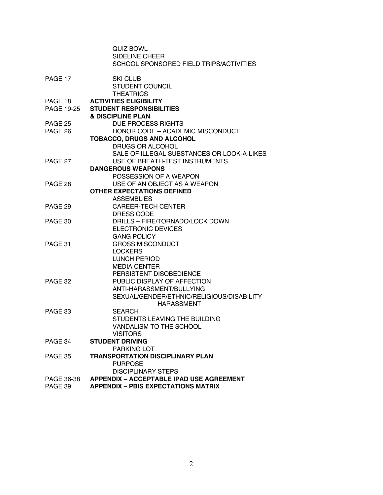|                   | <b>QUIZ BOWL</b>                                           |
|-------------------|------------------------------------------------------------|
|                   | SIDELINE CHEER                                             |
|                   | SCHOOL SPONSORED FIELD TRIPS/ACTIVITIES                    |
|                   |                                                            |
| PAGE 17           | <b>SKI CLUB</b>                                            |
|                   | <b>STUDENT COUNCIL</b>                                     |
|                   | <b>THEATRICS</b>                                           |
| PAGE 18           | <b>ACTIVITIES ELIGIBILITY</b>                              |
| <b>PAGE 19-25</b> | <b>STUDENT RESPONSIBILITIES</b>                            |
|                   | <b>&amp; DISCIPLINE PLAN</b>                               |
| PAGE 25           | <b>DUE PROCESS RIGHTS</b>                                  |
| PAGE 26           | HONOR CODE - ACADEMIC MISCONDUCT                           |
|                   | <b>TOBACCO, DRUGS AND ALCOHOL</b>                          |
|                   | DRUGS OR ALCOHOL                                           |
| PAGE 27           | SALE OF ILLEGAL SUBSTANCES OR LOOK-A-LIKES                 |
|                   | USE OF BREATH-TEST INSTRUMENTS<br><b>DANGEROUS WEAPONS</b> |
|                   | POSSESSION OF A WEAPON                                     |
| PAGE 28           | USE OF AN OBJECT AS A WEAPON                               |
|                   | <b>OTHER EXPECTATIONS DEFINED</b>                          |
|                   | <b>ASSEMBLIES</b>                                          |
| PAGE 29           | <b>CAREER-TECH CENTER</b>                                  |
|                   | DRESS CODE                                                 |
| PAGE 30           | <b>DRILLS - FIRE/TORNADO/LOCK DOWN</b>                     |
|                   | <b>ELECTRONIC DEVICES</b>                                  |
|                   | <b>GANG POLICY</b>                                         |
| PAGE 31           | <b>GROSS MISCONDUCT</b>                                    |
|                   | <b>LOCKERS</b>                                             |
|                   | <b>LUNCH PERIOD</b>                                        |
|                   | <b>MEDIA CENTER</b>                                        |
|                   | PERSISTENT DISOBEDIENCE                                    |
| PAGE 32           | PUBLIC DISPLAY OF AFFECTION                                |
|                   | ANTI-HARASSMENT/BULLYING                                   |
|                   | SEXUAL/GENDER/ETHNIC/RELIGIOUS/DISABILITY                  |
|                   | <b>HARASSMENT</b>                                          |
| PAGE 33           | SEARCH                                                     |
|                   | STUDENTS LEAVING THE BUILDING                              |
|                   | VANDALISM TO THE SCHOOL                                    |
|                   | <b>VISITORS</b>                                            |
| PAGE 34           | <b>STUDENT DRIVING</b>                                     |
|                   | PARKING LOT                                                |
| PAGE 35           | <b>TRANSPORTATION DISCIPLINARY PLAN</b>                    |
|                   | <b>PURPOSE</b>                                             |
|                   | <b>DISCIPLINARY STEPS</b>                                  |
| PAGE 36-38        | <b>APPENDIX - ACCEPTABLE IPAD USE AGREEMENT</b>            |
| PAGE 39           | <b>APPENDIX - PBIS EXPECTATIONS MATRIX</b>                 |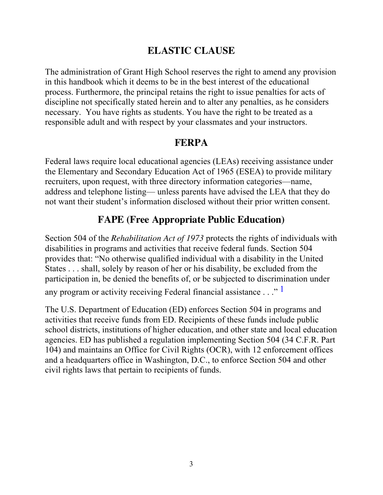# **ELASTIC CLAUSE**

The administration of Grant High School reserves the right to amend any provision in this handbook which it deems to be in the best interest of the educational process. Furthermore, the principal retains the right to issue penalties for acts of discipline not specifically stated herein and to alter any penalties, as he considers necessary. You have rights as students. You have the right to be treated as a responsible adult and with respect by your classmates and your instructors.

### **FERPA**

Federal laws require local educational agencies (LEAs) receiving assistance under the Elementary and Secondary Education Act of 1965 (ESEA) to provide military recruiters, upon request, with three directory information categories—name, address and telephone listing— unless parents have advised the LEA that they do not want their student's information disclosed without their prior written consent.

# **FAPE (Free Appropriate Public Education)**

Section 504 of the *Rehabilitation Act of 1973* protects the rights of individuals with disabilities in programs and activities that receive federal funds. Section 504 provides that: "No otherwise qualified individual with a disability in the United States . . . shall, solely by reason of her or his disability, be excluded from the participation in, be denied the benefits of, or be subjected to discrimination under any program or activity receiving Federal financial assistance . . ." 1

The U.S. Department of Education (ED) enforces Section 504 in programs and activities that receive funds from ED. Recipients of these funds include public school districts, institutions of higher education, and other state and local education agencies. ED has published a regulation implementing Section 504 (34 C.F.R. Part 104) and maintains an Office for Civil Rights (OCR), with 12 enforcement offices and a headquarters office in Washington, D.C., to enforce Section 504 and other civil rights laws that pertain to recipients of funds.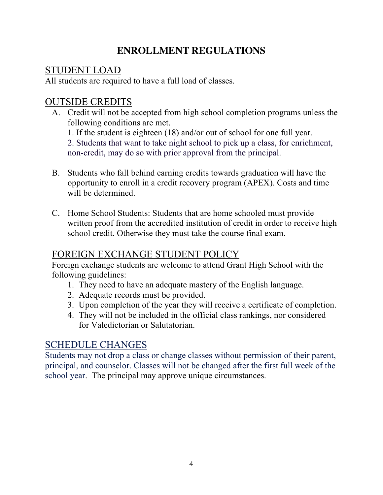# **ENROLLMENT REGULATIONS**

### STUDENT LOAD

All students are required to have a full load of classes.

# OUTSIDE CREDITS

- A. Credit will not be accepted from high school completion programs unless the following conditions are met. 1. If the student is eighteen (18) and/or out of school for one full year. 2. Students that want to take night school to pick up a class, for enrichment, non-credit, may do so with prior approval from the principal.
- B. Students who fall behind earning credits towards graduation will have the opportunity to enroll in a credit recovery program (APEX). Costs and time will be determined.
- C. Home School Students: Students that are home schooled must provide written proof from the accredited institution of credit in order to receive high school credit. Otherwise they must take the course final exam.

# FOREIGN EXCHANGE STUDENT POLICY

Foreign exchange students are welcome to attend Grant High School with the following guidelines:

- 1. They need to have an adequate mastery of the English language.
- 2. Adequate records must be provided.
- 3. Upon completion of the year they will receive a certificate of completion.
- 4. They will not be included in the official class rankings, nor considered for Valedictorian or Salutatorian.

# SCHEDULE CHANGES

Students may not drop a class or change classes without permission of their parent, principal, and counselor. Classes will not be changed after the first full week of the school year. The principal may approve unique circumstances.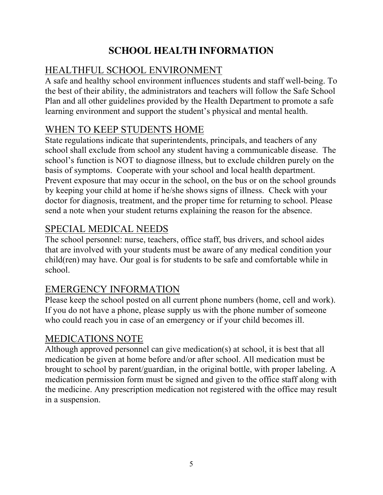# **SCHOOL HEALTH INFORMATION**

# HEALTHFUL SCHOOL ENVIRONMENT

A safe and healthy school environment influences students and staff well-being. To the best of their ability, the administrators and teachers will follow the Safe School Plan and all other guidelines provided by the Health Department to promote a safe learning environment and support the student's physical and mental health.

# WHEN TO KEEP STUDENTS HOME

State regulations indicate that superintendents, principals, and teachers of any school shall exclude from school any student having a communicable disease. The school's function is NOT to diagnose illness, but to exclude children purely on the basis of symptoms. Cooperate with your school and local health department. Prevent exposure that may occur in the school, on the bus or on the school grounds by keeping your child at home if he/she shows signs of illness. Check with your doctor for diagnosis, treatment, and the proper time for returning to school. Please send a note when your student returns explaining the reason for the absence.

# SPECIAL MEDICAL NEEDS

The school personnel: nurse, teachers, office staff, bus drivers, and school aides that are involved with your students must be aware of any medical condition your child(ren) may have. Our goal is for students to be safe and comfortable while in school.

# EMERGENCY INFORMATION

Please keep the school posted on all current phone numbers (home, cell and work). If you do not have a phone, please supply us with the phone number of someone who could reach you in case of an emergency or if your child becomes ill.

# MEDICATIONS NOTE

Although approved personnel can give medication(s) at school, it is best that all medication be given at home before and/or after school. All medication must be brought to school by parent/guardian, in the original bottle, with proper labeling. A medication permission form must be signed and given to the office staff along with the medicine. Any prescription medication not registered with the office may result in a suspension.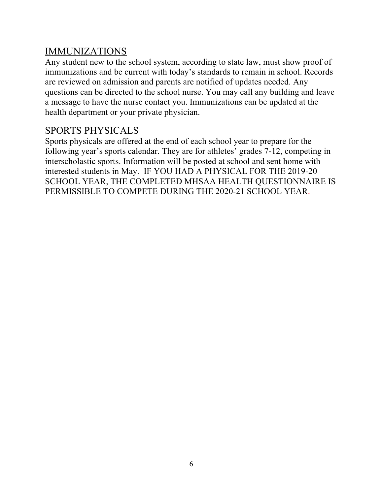### IMMUNIZATIONS

Any student new to the school system, according to state law, must show proof of immunizations and be current with today's standards to remain in school. Records are reviewed on admission and parents are notified of updates needed. Any questions can be directed to the school nurse. You may call any building and leave a message to have the nurse contact you. Immunizations can be updated at the health department or your private physician.

### SPORTS PHYSICALS

Sports physicals are offered at the end of each school year to prepare for the following year's sports calendar. They are for athletes' grades 7-12, competing in interscholastic sports. Information will be posted at school and sent home with interested students in May. IF YOU HAD A PHYSICAL FOR THE 2019-20 SCHOOL YEAR, THE COMPLETED MHSAA HEALTH QUESTIONNAIRE IS PERMISSIBLE TO COMPETE DURING THE 2020-21 SCHOOL YEAR.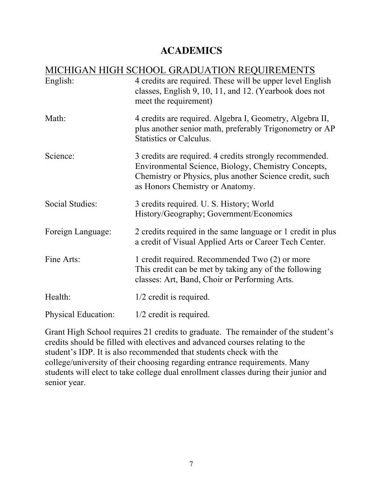## **ACADEMICS**

|                            | <b>MICHIGAN HIGH SCHOOL GRADUATION REQUIREMENTS</b>                                                                                                                                                          |
|----------------------------|--------------------------------------------------------------------------------------------------------------------------------------------------------------------------------------------------------------|
| English:                   | 4 credits are required. These will be upper level English<br>classes, English 9, 10, 11, and 12. (Yearbook does not<br>meet the requirement)                                                                 |
| Math:                      | 4 credits are required. Algebra I, Geometry, Algebra II,<br>plus another senior math, preferably Trigonometry or AP<br>Statistics or Calculus.                                                               |
| Science:                   | 3 credits are required. 4 credits strongly recommended.<br>Environmental Science, Biology, Chemistry Concepts,<br>Chemistry or Physics, plus another Science credit, such<br>as Honors Chemistry or Anatomy. |
| Social Studies:            | 3 credits required. U. S. History; World<br>History/Geography; Government/Economics                                                                                                                          |
| Foreign Language:          | 2 credits required in the same language or 1 credit in plus<br>a credit of Visual Applied Arts or Career Tech Center.                                                                                        |
| Fine Arts:                 | 1 credit required. Recommended Two (2) or more<br>This credit can be met by taking any of the following<br>classes: Art, Band, Choir or Performing Arts.                                                     |
| Health:                    | 1/2 credit is required.                                                                                                                                                                                      |
| <b>Physical Education:</b> | $1/2$ credit is required.                                                                                                                                                                                    |

Grant High School requires 21 credits to graduate. The remainder of the student's credits should be filled with electives and advanced courses relating to the student's IDP. It is also recommended that students check with the college/university of their choosing regarding entrance requirements. Many students will elect to take college dual enrollment classes during their junior and senior year.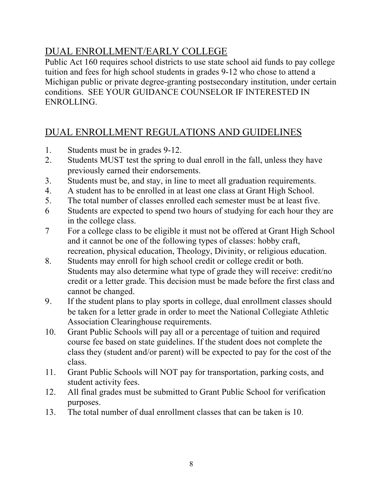# DUAL ENROLLMENT/EARLY COLLEGE

Public Act 160 requires school districts to use state school aid funds to pay college tuition and fees for high school students in grades 9-12 who chose to attend a Michigan public or private degree-granting postsecondary institution, under certain conditions. SEE YOUR GUIDANCE COUNSELOR IF INTERESTED IN ENROLLING.

# DUAL ENROLLMENT REGULATIONS AND GUIDELINES

- 1. Students must be in grades 9-12.
- 2. Students MUST test the spring to dual enroll in the fall, unless they have previously earned their endorsements.
- 3. Students must be, and stay, in line to meet all graduation requirements.
- 4. A student has to be enrolled in at least one class at Grant High School.
- 5. The total number of classes enrolled each semester must be at least five.
- 6 Students are expected to spend two hours of studying for each hour they are in the college class.
- 7 For a college class to be eligible it must not be offered at Grant High School and it cannot be one of the following types of classes: hobby craft, recreation, physical education, Theology, Divinity, or religious education.
- 8. Students may enroll for high school credit or college credit or both. Students may also determine what type of grade they will receive: credit/no credit or a letter grade. This decision must be made before the first class and cannot be changed.
- 9. If the student plans to play sports in college, dual enrollment classes should be taken for a letter grade in order to meet the National Collegiate Athletic Association Clearinghouse requirements.
- 10. Grant Public Schools will pay all or a percentage of tuition and required course fee based on state guidelines. If the student does not complete the class they (student and/or parent) will be expected to pay for the cost of the class.
- 11. Grant Public Schools will NOT pay for transportation, parking costs, and student activity fees.
- 12. All final grades must be submitted to Grant Public School for verification purposes.
- 13. The total number of dual enrollment classes that can be taken is 10.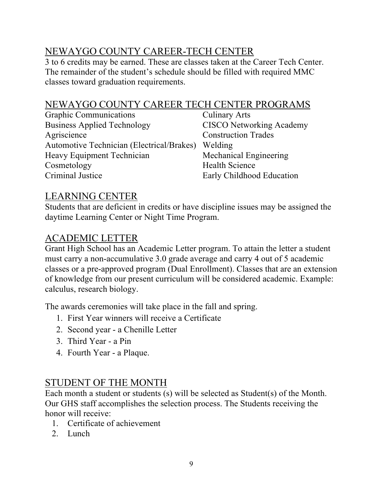# NEWAYGO COUNTY CAREER-TECH CENTER

3 to 6 credits may be earned. These are classes taken at the Career Tech Center. The remainder of the student's schedule should be filled with required MMC classes toward graduation requirements.

# NEWAYGO COUNTY CAREER TECH CENTER PROGRAMS

Graphic Communications Culinary Arts Business Applied Technology CISCO Networking Academy Agriscience Construction Trades Automotive Technician (Electrical/Brakes) Welding Heavy Equipment Technician Mechanical Engineering Cosmetology Health Science Criminal Justice Early Childhood Education

### LEARNING CENTER

Students that are deficient in credits or have discipline issues may be assigned the daytime Learning Center or Night Time Program.

### ACADEMIC LETTER

Grant High School has an Academic Letter program. To attain the letter a student must carry a non-accumulative 3.0 grade average and carry 4 out of 5 academic classes or a pre-approved program (Dual Enrollment). Classes that are an extension of knowledge from our present curriculum will be considered academic. Example: calculus, research biology.

The awards ceremonies will take place in the fall and spring.

- 1. First Year winners will receive a Certificate
- 2. Second year a Chenille Letter
- 3. Third Year a Pin
- 4. Fourth Year a Plaque.

# STUDENT OF THE MONTH

Each month a student or students (s) will be selected as Student(s) of the Month. Our GHS staff accomplishes the selection process. The Students receiving the honor will receive:

- 1. Certificate of achievement
- 2. Lunch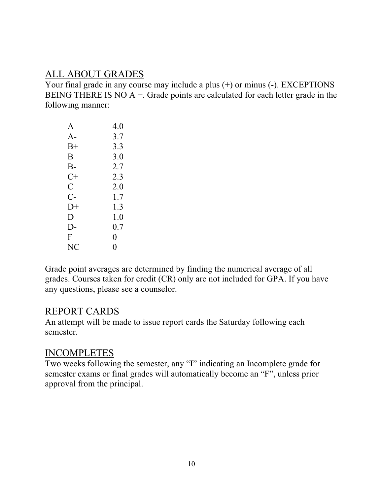### ALL ABOUT GRADES

Your final grade in any course may include a plus (+) or minus (-). EXCEPTIONS BEING THERE IS NO  $A +$ . Grade points are calculated for each letter grade in the following manner:

| A                  | 4.0     |
|--------------------|---------|
| $A-$               | 3.7     |
| $B+$               | 3.3     |
| B                  | 3.0     |
| $B-$               | 2.7     |
| $C+$               | 2.3     |
| $\overline{\rm C}$ | 2.0     |
| $C-$               | 1.7     |
| $D+$               | 1.3     |
| D                  | $1.0\,$ |
| $D-$               | 0.7     |
| F                  | 0       |
| NC                 | 0       |

Grade point averages are determined by finding the numerical average of all grades. Courses taken for credit (CR) only are not included for GPA. If you have any questions, please see a counselor.

#### REPORT CARDS

An attempt will be made to issue report cards the Saturday following each semester.

### INCOMPLETES

Two weeks following the semester, any "I" indicating an Incomplete grade for semester exams or final grades will automatically become an "F", unless prior approval from the principal.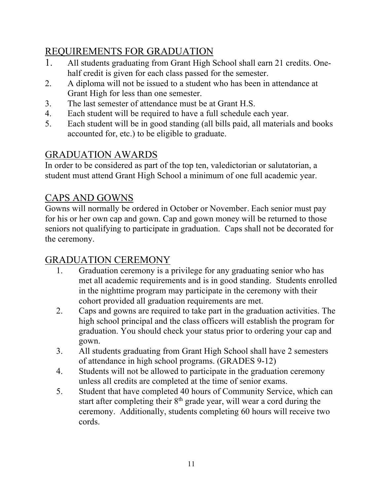# REQUIREMENTS FOR GRADUATION

- 1. All students graduating from Grant High School shall earn 21 credits. Onehalf credit is given for each class passed for the semester.
- 2. A diploma will not be issued to a student who has been in attendance at Grant High for less than one semester.
- 3. The last semester of attendance must be at Grant H.S.
- 4. Each student will be required to have a full schedule each year.
- 5. Each student will be in good standing (all bills paid, all materials and books accounted for, etc.) to be eligible to graduate.

# GRADUATION AWARDS

In order to be considered as part of the top ten, valedictorian or salutatorian, a student must attend Grant High School a minimum of one full academic year.

# CAPS AND GOWNS

Gowns will normally be ordered in October or November. Each senior must pay for his or her own cap and gown. Cap and gown money will be returned to those seniors not qualifying to participate in graduation. Caps shall not be decorated for the ceremony.

# GRADUATION CEREMONY

- 1. Graduation ceremony is a privilege for any graduating senior who has met all academic requirements and is in good standing. Students enrolled in the nighttime program may participate in the ceremony with their cohort provided all graduation requirements are met.
- 2. Caps and gowns are required to take part in the graduation activities. The high school principal and the class officers will establish the program for graduation. You should check your status prior to ordering your cap and gown.
- 3. All students graduating from Grant High School shall have 2 semesters of attendance in high school programs. (GRADES 9-12)
- 4. Students will not be allowed to participate in the graduation ceremony unless all credits are completed at the time of senior exams.
- 5. Student that have completed 40 hours of Community Service, which can start after completing their  $8<sup>th</sup>$  grade year, will wear a cord during the ceremony. Additionally, students completing 60 hours will receive two cords.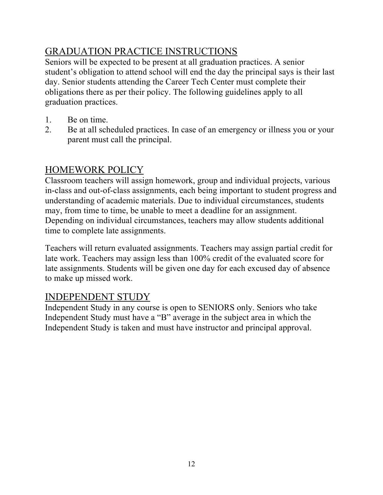# GRADUATION PRACTICE INSTRUCTIONS

Seniors will be expected to be present at all graduation practices. A senior student's obligation to attend school will end the day the principal says is their last day. Senior students attending the Career Tech Center must complete their obligations there as per their policy. The following guidelines apply to all graduation practices.

- 1. Be on time.
- 2. Be at all scheduled practices. In case of an emergency or illness you or your parent must call the principal.

# HOMEWORK POLICY

Classroom teachers will assign homework, group and individual projects, various in-class and out-of-class assignments, each being important to student progress and understanding of academic materials. Due to individual circumstances, students may, from time to time, be unable to meet a deadline for an assignment. Depending on individual circumstances, teachers may allow students additional time to complete late assignments.

Teachers will return evaluated assignments. Teachers may assign partial credit for late work. Teachers may assign less than 100% credit of the evaluated score for late assignments. Students will be given one day for each excused day of absence to make up missed work.

### INDEPENDENT STUDY

Independent Study in any course is open to SENIORS only. Seniors who take Independent Study must have a "B" average in the subject area in which the Independent Study is taken and must have instructor and principal approval.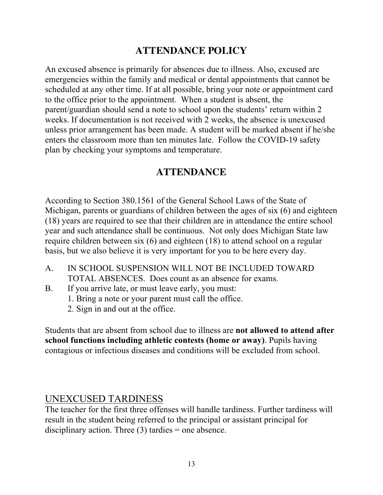# **ATTENDANCE POLICY**

An excused absence is primarily for absences due to illness. Also, excused are emergencies within the family and medical or dental appointments that cannot be scheduled at any other time. If at all possible, bring your note or appointment card to the office prior to the appointment. When a student is absent, the parent/guardian should send a note to school upon the students' return within 2 weeks. If documentation is not received with 2 weeks, the absence is unexcused unless prior arrangement has been made. A student will be marked absent if he/she enters the classroom more than ten minutes late. Follow the COVID-19 safety plan by checking your symptoms and temperature.

### **ATTENDANCE**

According to Section 380.1561 of the General School Laws of the State of Michigan, parents or guardians of children between the ages of six (6) and eighteen (18) years are required to see that their children are in attendance the entire school year and such attendance shall be continuous. Not only does Michigan State law require children between six (6) and eighteen (18) to attend school on a regular basis, but we also believe it is very important for you to be here every day.

- A. IN SCHOOL SUSPENSION WILL NOT BE INCLUDED TOWARD TOTAL ABSENCES. Does count as an absence for exams.
- B. If you arrive late, or must leave early, you must:
	- 1. Bring a note or your parent must call the office.
	- 2. Sign in and out at the office.

Students that are absent from school due to illness are **not allowed to attend after school functions including athletic contests (home or away)**. Pupils having contagious or infectious diseases and conditions will be excluded from school.

### UNEXCUSED TARDINESS

The teacher for the first three offenses will handle tardiness. Further tardiness will result in the student being referred to the principal or assistant principal for disciplinary action. Three  $(3)$  tardies = one absence.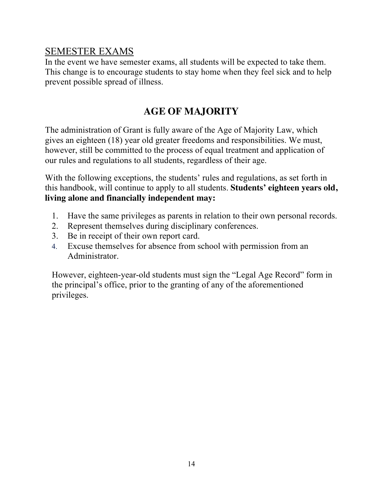### SEMESTER EXAMS

In the event we have semester exams, all students will be expected to take them. This change is to encourage students to stay home when they feel sick and to help prevent possible spread of illness.

# **AGE OF MAJORITY**

The administration of Grant is fully aware of the Age of Majority Law, which gives an eighteen (18) year old greater freedoms and responsibilities. We must, however, still be committed to the process of equal treatment and application of our rules and regulations to all students, regardless of their age.

With the following exceptions, the students' rules and regulations, as set forth in this handbook, will continue to apply to all students. **Students' eighteen years old, living alone and financially independent may:**

- 1. Have the same privileges as parents in relation to their own personal records.
- 2. Represent themselves during disciplinary conferences.
- 3. Be in receipt of their own report card.
- 4. Excuse themselves for absence from school with permission from an Administrator.

However, eighteen-year-old students must sign the "Legal Age Record" form in the principal's office, prior to the granting of any of the aforementioned privileges.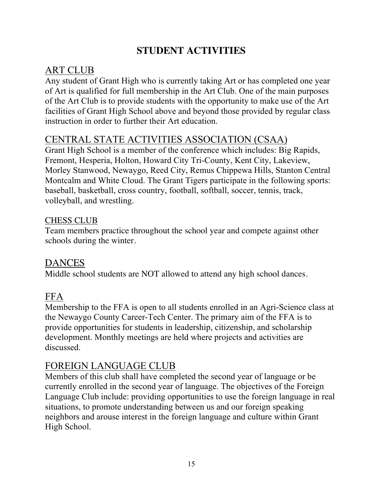# **STUDENT ACTIVITIES**

# ART CLUB

Any student of Grant High who is currently taking Art or has completed one year of Art is qualified for full membership in the Art Club. One of the main purposes of the Art Club is to provide students with the opportunity to make use of the Art facilities of Grant High School above and beyond those provided by regular class instruction in order to further their Art education.

# CENTRAL STATE ACTIVITIES ASSOCIATION (CSAA)

Grant High School is a member of the conference which includes: Big Rapids, Fremont, Hesperia, Holton, Howard City Tri-County, Kent City, Lakeview, Morley Stanwood, Newaygo, Reed City, Remus Chippewa Hills, Stanton Central Montcalm and White Cloud. The Grant Tigers participate in the following sports: baseball, basketball, cross country, football, softball, soccer, tennis, track, volleyball, and wrestling.

### CHESS CLUB

Team members practice throughout the school year and compete against other schools during the winter.

### **DANCES**

Middle school students are NOT allowed to attend any high school dances.

### FFA

Membership to the FFA is open to all students enrolled in an Agri-Science class at the Newaygo County Career-Tech Center. The primary aim of the FFA is to provide opportunities for students in leadership, citizenship, and scholarship development. Monthly meetings are held where projects and activities are discussed.

# FOREIGN LANGUAGE CLUB

Members of this club shall have completed the second year of language or be currently enrolled in the second year of language. The objectives of the Foreign Language Club include: providing opportunities to use the foreign language in real situations, to promote understanding between us and our foreign speaking neighbors and arouse interest in the foreign language and culture within Grant High School.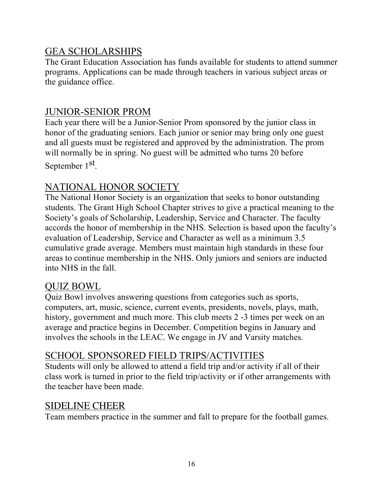### GEA SCHOLARSHIPS

The Grant Education Association has funds available for students to attend summer programs. Applications can be made through teachers in various subject areas or the guidance office.

### JUNIOR-SENIOR PROM

Each year there will be a Junior-Senior Prom sponsored by the junior class in honor of the graduating seniors. Each junior or senior may bring only one guest and all guests must be registered and approved by the administration. The prom will normally be in spring. No guest will be admitted who turns 20 before September 1<sup>st</sup>.

### NATIONAL HONOR SOCIETY

The National Honor Society is an organization that seeks to honor outstanding students. The Grant High School Chapter strives to give a practical meaning to the Society's goals of Scholarship, Leadership, Service and Character. The faculty accords the honor of membership in the NHS. Selection is based upon the faculty's evaluation of Leadership, Service and Character as well as a minimum 3.5 cumulative grade average. Members must maintain high standards in these four areas to continue membership in the NHS. Only juniors and seniors are inducted into NHS in the fall.

### QUIZ BOWL

Quiz Bowl involves answering questions from categories such as sports, computers, art, music, science, current events, presidents, novels, plays, math, history, government and much more. This club meets 2 -3 times per week on an average and practice begins in December. Competition begins in January and involves the schools in the LEAC. We engage in JV and Varsity matches.

### SCHOOL SPONSORED FIELD TRIPS/ACTIVITIES

Students will only be allowed to attend a field trip and/or activity if all of their class work is turned in prior to the field trip/activity or if other arrangements with the teacher have been made.

### SIDELINE CHEER

Team members practice in the summer and fall to prepare for the football games.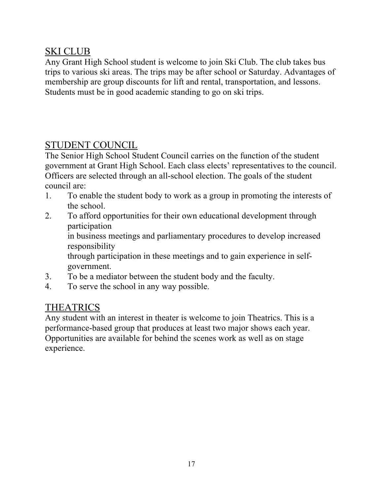### SKI CLUB

Any Grant High School student is welcome to join Ski Club. The club takes bus trips to various ski areas. The trips may be after school or Saturday. Advantages of membership are group discounts for lift and rental, transportation, and lessons. Students must be in good academic standing to go on ski trips.

# STUDENT COUNCIL

The Senior High School Student Council carries on the function of the student government at Grant High School. Each class elects' representatives to the council. Officers are selected through an all-school election. The goals of the student council are:

- 1. To enable the student body to work as a group in promoting the interests of the school.
- 2. To afford opportunities for their own educational development through participation in business meetings and parliamentary procedures to develop increased responsibility through participation in these meetings and to gain experience in selfgovernment.
- 3. To be a mediator between the student body and the faculty.
- 4. To serve the school in any way possible.

# THEATRICS

Any student with an interest in theater is welcome to join Theatrics. This is a performance-based group that produces at least two major shows each year. Opportunities are available for behind the scenes work as well as on stage experience.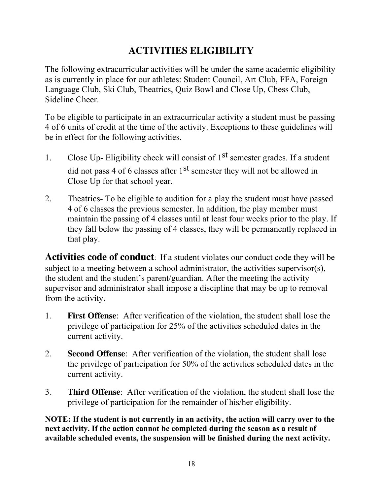# **ACTIVITIES ELIGIBILITY**

The following extracurricular activities will be under the same academic eligibility as is currently in place for our athletes: Student Council, Art Club, FFA, Foreign Language Club, Ski Club, Theatrics, Quiz Bowl and Close Up, Chess Club, Sideline Cheer.

To be eligible to participate in an extracurricular activity a student must be passing 4 of 6 units of credit at the time of the activity. Exceptions to these guidelines will be in effect for the following activities.

- 1. Close Up- Eligibility check will consist of  $1<sup>st</sup>$  semester grades. If a student did not pass 4 of 6 classes after  $1<sup>st</sup>$  semester they will not be allowed in Close Up for that school year.
- 2. Theatrics- To be eligible to audition for a play the student must have passed 4 of 6 classes the previous semester. In addition, the play member must maintain the passing of 4 classes until at least four weeks prior to the play. If they fall below the passing of 4 classes, they will be permanently replaced in that play.

**Activities code of conduct**: If a student violates our conduct code they will be subject to a meeting between a school administrator, the activities supervisor(s), the student and the student's parent/guardian. After the meeting the activity supervisor and administrator shall impose a discipline that may be up to removal from the activity.

- 1. **First Offense**: After verification of the violation, the student shall lose the privilege of participation for 25% of the activities scheduled dates in the current activity.
- 2. **Second Offense**: After verification of the violation, the student shall lose the privilege of participation for 50% of the activities scheduled dates in the current activity.
- 3. **Third Offense**: After verification of the violation, the student shall lose the privilege of participation for the remainder of his/her eligibility.

**NOTE: If the student is not currently in an activity, the action will carry over to the next activity. If the action cannot be completed during the season as a result of available scheduled events, the suspension will be finished during the next activity.**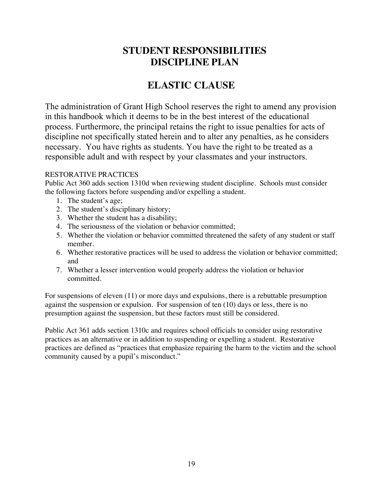### **STUDENT RESPONSIBILITIES DISCIPLINE PLAN**

# **ELASTIC CLAUSE**

The administration of Grant High School reserves the right to amend any provision in this handbook which it deems to be in the best interest of the educational process. Furthermore, the principal retains the right to issue penalties for acts of discipline not specifically stated herein and to alter any penalties, as he considers necessary. You have rights as students. You have the right to be treated as a responsible adult and with respect by your classmates and your instructors.

#### RESTORATIVE PRACTICES

Public Act 360 adds section 1310d when reviewing student discipline. Schools must consider the following factors before suspending and/or expelling a student.

- 1. The student's age;
- 2. The student's disciplinary history;
- 3. Whether the student has a disability;
- 4. The seriousness of the violation or behavior committed;
- 5. Whether the violation or behavior committed threatened the safety of any student or staff member.
- 6. Whether restorative practices will be used to address the violation or behavior committed; and
- 7. Whether a lesser intervention would properly address the violation or behavior committed.

For suspensions of eleven (11) or more days and expulsions, there is a rebuttable presumption against the suspension or expulsion. For suspension of ten (10) days or less, there is no presumption against the suspension, but these factors must still be considered.

Public Act 361 adds section 1310c and requires school officials to consider using restorative practices as an alternative or in addition to suspending or expelling a student. Restorative practices are defined as "practices that emphasize repairing the harm to the victim and the school community caused by a pupil's misconduct."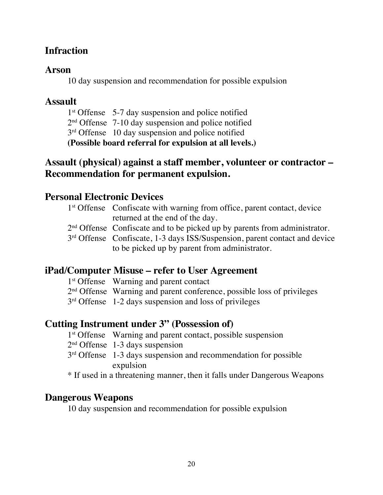### **Infraction**

### **Arson**

10 day suspension and recommendation for possible expulsion

### **Assault**

1<sup>st</sup> Offense 5-7 day suspension and police notified

2nd Offense 7-10 day suspension and police notified

3<sup>rd</sup> Offense 10 day suspension and police notified

**(Possible board referral for expulsion at all levels.)**

### **Assault (physical) against a staff member, volunteer or contractor – Recommendation for permanent expulsion.**

### **Personal Electronic Devices**

| 1 <sup>st</sup> Offense Confiscate with warning from office, parent contact, device    |
|----------------------------------------------------------------------------------------|
| returned at the end of the day.                                                        |
| $2nd$ Offense Confiscate and to be picked up by parents from administrator.            |
| 3 <sup>rd</sup> Offense Confiscate, 1-3 days ISS/Suspension, parent contact and device |
| to be picked up by parent from administrator.                                          |

### **iPad/Computer Misuse – refer to User Agreement**

1<sup>st</sup> Offense Warning and parent contact

2<sup>nd</sup> Offense Warning and parent conference, possible loss of privileges

3<sup>rd</sup> Offense 1-2 days suspension and loss of privileges

### **Cutting Instrument under 3" (Possession of)**

- 1<sup>st</sup> Offense Warning and parent contact, possible suspension
- 2nd Offense 1-3 days suspension
- 3<sup>rd</sup> Offense 1-3 days suspension and recommendation for possible expulsion

\* If used in a threatening manner, then it falls under Dangerous Weapons

### **Dangerous Weapons**

10 day suspension and recommendation for possible expulsion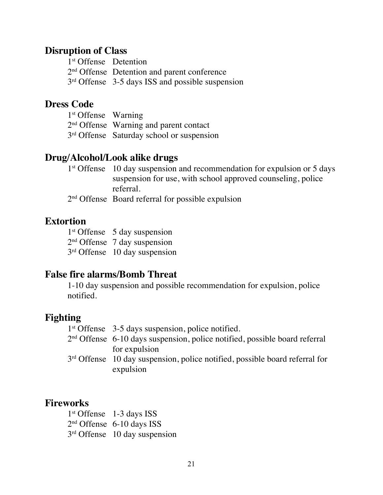#### **Disruption of Class**

| 1 <sup>st</sup> Offense Detention |                                                    |
|-----------------------------------|----------------------------------------------------|
|                                   | $2nd$ Offense Detention and parent conference      |
|                                   | $3rd$ Offense 3-5 days ISS and possible suspension |

### **Dress Code**

| $1st$ Offense Warning |                                                       |
|-----------------------|-------------------------------------------------------|
|                       | $2nd$ Offense Warning and parent contact              |
|                       | 3 <sup>rd</sup> Offense Saturday school or suspension |

#### **Drug/Alcohol/Look alike drugs**

|                                        | $1st$ Offense 10 day suspension and recommendation for expulsion or 5 days |  |  |
|----------------------------------------|----------------------------------------------------------------------------|--|--|
|                                        | suspension for use, with school approved counseling, police                |  |  |
|                                        | referral.                                                                  |  |  |
| $\mathbf{C}$ $\mathbf{C}$ $\mathbf{C}$ |                                                                            |  |  |

2nd Offense Board referral for possible expulsion

#### **Extortion**

1<sup>st</sup> Offense 5 day suspension 2nd Offense 7 day suspension 3rd Offense 10 day suspension

#### **False fire alarms/Bomb Threat**

1-10 day suspension and possible recommendation for expulsion, police notified.

### **Fighting**

1<sup>st</sup> Offense 3-5 days suspension, police notified. 2nd Offense 6-10 days suspension, police notified, possible board referral for expulsion 3<sup>rd</sup> Offense 10 day suspension, police notified, possible board referral for expulsion

#### **Fireworks**

1st Offense 1-3 days ISS 2nd Offense 6-10 days ISS 3<sup>rd</sup> Offense 10 day suspension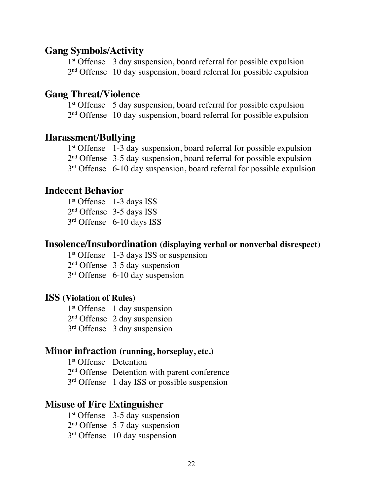#### **Gang Symbols/Activity**

1st Offense 3 day suspension, board referral for possible expulsion  $2<sup>nd</sup>$  Offense 10 day suspension, board referral for possible expulsion

#### **Gang Threat/Violence**

1<sup>st</sup> Offense 5 day suspension, board referral for possible expulsion 2<sup>nd</sup> Offense 10 day suspension, board referral for possible expulsion

#### **Harassment/Bullying**

1<sup>st</sup> Offense 1-3 day suspension, board referral for possible expulsion  $2<sup>nd</sup>$  Offense 3-5 day suspension, board referral for possible expulsion 3<sup>rd</sup> Offense 6-10 day suspension, board referral for possible expulsion

#### **Indecent Behavior**

1<sup>st</sup> Offense 1-3 days ISS 2nd Offense 3-5 days ISS 3rd Offense 6-10 days ISS

#### **Insolence/Insubordination (displaying verbal or nonverbal disrespect)**

1<sup>st</sup> Offense 1-3 days ISS or suspension

2nd Offense 3-5 day suspension

3rd Offense 6-10 day suspension

#### **ISS (Violation of Rules)**

1<sup>st</sup> Offense 1 day suspension 2nd Offense 2 day suspension 3rd Offense 3 day suspension

#### **Minor infraction (running, horseplay, etc.)**

1<sup>st</sup> Offense Detention 2<sup>nd</sup> Offense Detention with parent conference 3<sup>rd</sup> Offense 1 day ISS or possible suspension

#### **Misuse of Fire Extinguisher**

 $1<sup>st</sup>$  Offense 3-5 day suspension 2nd Offense 5-7 day suspension 3<sup>rd</sup> Offense 10 day suspension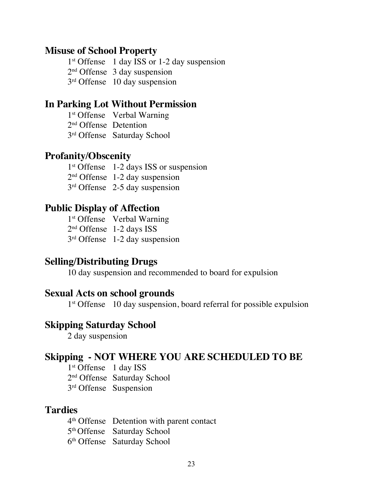#### **Misuse of School Property**

1<sup>st</sup> Offense 1 day ISS or 1-2 day suspension 2nd Offense 3 day suspension 3rd Offense 10 day suspension

### **In Parking Lot Without Permission**

1<sup>st</sup> Offense Verbal Warning 2nd Offense Detention 3rd Offense Saturday School

#### **Profanity/Obscenity**

1<sup>st</sup> Offense 1-2 days ISS or suspension 2nd Offense 1-2 day suspension 3rd Offense 2-5 day suspension

#### **Public Display of Affection**

1<sup>st</sup> Offense Verbal Warning 2nd Offense 1-2 days ISS 3rd Offense 1-2 day suspension

#### **Selling/Distributing Drugs**

10 day suspension and recommended to board for expulsion

#### **Sexual Acts on school grounds**

1<sup>st</sup> Offense 10 day suspension, board referral for possible expulsion

#### **Skipping Saturday School**

2 day suspension

### **Skipping - NOT WHERE YOU ARE SCHEDULED TO BE**

1<sup>st</sup> Offense 1 day ISS 2nd Offense Saturday School 3rd Offense Suspension

#### **Tardies**

4th Offense Detention with parent contact 5th Offense Saturday School 6th Offense Saturday School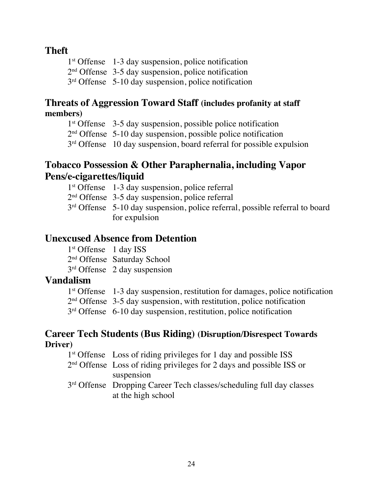### **Theft**

1<sup>st</sup> Offense 1-3 day suspension, police notification 2nd Offense 3-5 day suspension, police notification 3<sup>rd</sup> Offense 5-10 day suspension, police notification

### **Threats of Aggression Toward Staff (includes profanity at staff members)**

1<sup>st</sup> Offense 3-5 day suspension, possible police notification

2nd Offense 5-10 day suspension, possible police notification

3<sup>rd</sup> Offense 10 day suspension, board referral for possible expulsion

### **Tobacco Possession & Other Paraphernalia, including Vapor Pens/e-cigarettes/liquid**

- 1st Offense 1-3 day suspension, police referral
- 2nd Offense 3-5 day suspension, police referral
- 3<sup>rd</sup> Offense 5-10 day suspension, police referral, possible referral to board for expulsion

### **Unexcused Absence from Detention**

1<sup>st</sup> Offense 1 day ISS 2nd Offense Saturday School 3rd Offense 2 day suspension

### **Vandalism**

| $1st$ Offense 1-3 day suspension, restitution for damages, police notification |
|--------------------------------------------------------------------------------|
| $2nd$ Offense 3-5 day suspension, with restitution, police notification        |
| $3rd$ Offense 6-10 day suspension, restitution, police notification            |

#### **Career Tech Students (Bus Riding) (Disruption/Disrespect Towards Driver)**

| 1 <sup>st</sup> Offense Loss of riding privileges for 1 day and possible ISS |
|------------------------------------------------------------------------------|
| $2nd$ Offense Loss of riding privileges for 2 days and possible ISS or       |
| suspension                                                                   |
| 3rd Offense Dropping Career Tech classes/scheduling full day classes         |
| at the high school                                                           |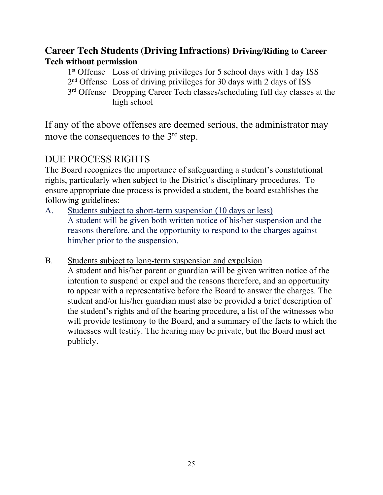### **Career Tech Students (Driving Infractions) Driving/Riding to Career Tech without permission**

1st Offense Loss of driving privileges for 5 school days with 1 day ISS 2nd Offense Loss of driving privileges for 30 days with 2 days of ISS 3<sup>rd</sup> Offense Dropping Career Tech classes/scheduling full day classes at the high school

If any of the above offenses are deemed serious, the administrator may move the consequences to the 3<sup>rd</sup> step.

### DUE PROCESS RIGHTS

The Board recognizes the importance of safeguarding a student's constitutional rights, particularly when subject to the District's disciplinary procedures. To ensure appropriate due process is provided a student, the board establishes the following guidelines:

- A. Students subject to short-term suspension (10 days or less) A student will be given both written notice of his/her suspension and the reasons therefore, and the opportunity to respond to the charges against him/her prior to the suspension.
- B. Students subject to long-term suspension and expulsion A student and his/her parent or guardian will be given written notice of the intention to suspend or expel and the reasons therefore, and an opportunity to appear with a representative before the Board to answer the charges. The student and/or his/her guardian must also be provided a brief description of the student's rights and of the hearing procedure, a list of the witnesses who will provide testimony to the Board, and a summary of the facts to which the witnesses will testify. The hearing may be private, but the Board must act publicly.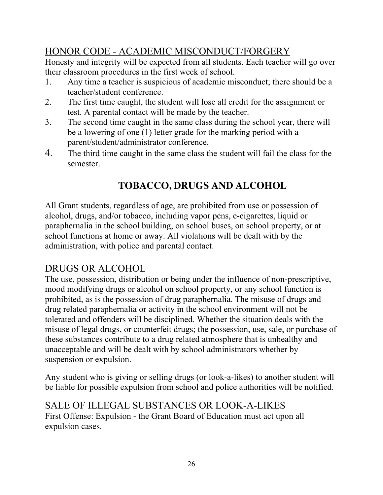# HONOR CODE - ACADEMIC MISCONDUCT/FORGERY

Honesty and integrity will be expected from all students. Each teacher will go over their classroom procedures in the first week of school.

- 1. Any time a teacher is suspicious of academic misconduct; there should be a teacher/student conference.
- 2. The first time caught, the student will lose all credit for the assignment or test. A parental contact will be made by the teacher.
- 3. The second time caught in the same class during the school year, there will be a lowering of one (1) letter grade for the marking period with a parent/student/administrator conference.
- 4. The third time caught in the same class the student will fail the class for the semester.

# **TOBACCO, DRUGS AND ALCOHOL**

All Grant students, regardless of age, are prohibited from use or possession of alcohol, drugs, and/or tobacco, including vapor pens, e-cigarettes, liquid or paraphernalia in the school building, on school buses, on school property, or at school functions at home or away. All violations will be dealt with by the administration, with police and parental contact.

### DRUGS OR ALCOHOL

The use, possession, distribution or being under the influence of non-prescriptive, mood modifying drugs or alcohol on school property, or any school function is prohibited, as is the possession of drug paraphernalia. The misuse of drugs and drug related paraphernalia or activity in the school environment will not be tolerated and offenders will be disciplined. Whether the situation deals with the misuse of legal drugs, or counterfeit drugs; the possession, use, sale, or purchase of these substances contribute to a drug related atmosphere that is unhealthy and unacceptable and will be dealt with by school administrators whether by suspension or expulsion.

Any student who is giving or selling drugs (or look-a-likes) to another student will be liable for possible expulsion from school and police authorities will be notified.

### SALE OF ILLEGAL SUBSTANCES OR LOOK-A-LIKES

First Offense: Expulsion - the Grant Board of Education must act upon all expulsion cases.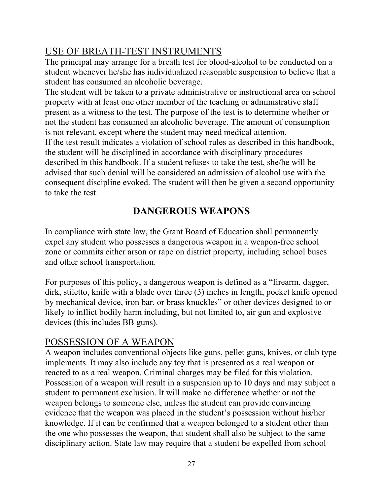# USE OF BREATH-TEST INSTRUMENTS

The principal may arrange for a breath test for blood-alcohol to be conducted on a student whenever he/she has individualized reasonable suspension to believe that a student has consumed an alcoholic beverage.

The student will be taken to a private administrative or instructional area on school property with at least one other member of the teaching or administrative staff present as a witness to the test. The purpose of the test is to determine whether or not the student has consumed an alcoholic beverage. The amount of consumption is not relevant, except where the student may need medical attention. If the test result indicates a violation of school rules as described in this handbook, the student will be disciplined in accordance with disciplinary procedures described in this handbook. If a student refuses to take the test, she/he will be advised that such denial will be considered an admission of alcohol use with the consequent discipline evoked. The student will then be given a second opportunity to take the test.

# **DANGEROUS WEAPONS**

In compliance with state law, the Grant Board of Education shall permanently expel any student who possesses a dangerous weapon in a weapon-free school zone or commits either arson or rape on district property, including school buses and other school transportation.

For purposes of this policy, a dangerous weapon is defined as a "firearm, dagger, dirk, stiletto, knife with a blade over three (3) inches in length, pocket knife opened by mechanical device, iron bar, or brass knuckles" or other devices designed to or likely to inflict bodily harm including, but not limited to, air gun and explosive devices (this includes BB guns).

# POSSESSION OF A WEAPON

A weapon includes conventional objects like guns, pellet guns, knives, or club type implements. It may also include any toy that is presented as a real weapon or reacted to as a real weapon. Criminal charges may be filed for this violation. Possession of a weapon will result in a suspension up to 10 days and may subject a student to permanent exclusion. It will make no difference whether or not the weapon belongs to someone else, unless the student can provide convincing evidence that the weapon was placed in the student's possession without his/her knowledge. If it can be confirmed that a weapon belonged to a student other than the one who possesses the weapon, that student shall also be subject to the same disciplinary action. State law may require that a student be expelled from school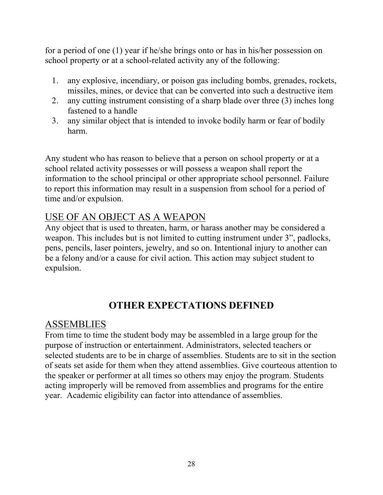for a period of one (1) year if he/she brings onto or has in his/her possession on school property or at a school-related activity any of the following:

- 1. any explosive, incendiary, or poison gas including bombs, grenades, rockets, missiles, mines, or device that can be converted into such a destructive item
- 2. any cutting instrument consisting of a sharp blade over three (3) inches long fastened to a handle
- 3. any similar object that is intended to invoke bodily harm or fear of bodily harm.

Any student who has reason to believe that a person on school property or at a school related activity possesses or will possess a weapon shall report the information to the school principal or other appropriate school personnel. Failure to report this information may result in a suspension from school for a period of time and/or expulsion.

### USE OF AN OBJECT AS A WEAPON

Any object that is used to threaten, harm, or harass another may be considered a weapon. This includes but is not limited to cutting instrument under 3", padlocks, pens, pencils, laser pointers, jewelry, and so on. Intentional injury to another can be a felony and/or a cause for civil action. This action may subject student to expulsion.

# **OTHER EXPECTATIONS DEFINED**

### ASSEMBLIES

From time to time the student body may be assembled in a large group for the purpose of instruction or entertainment. Administrators, selected teachers or selected students are to be in charge of assemblies. Students are to sit in the section of seats set aside for them when they attend assemblies. Give courteous attention to the speaker or performer at all times so others may enjoy the program. Students acting improperly will be removed from assemblies and programs for the entire year. Academic eligibility can factor into attendance of assemblies.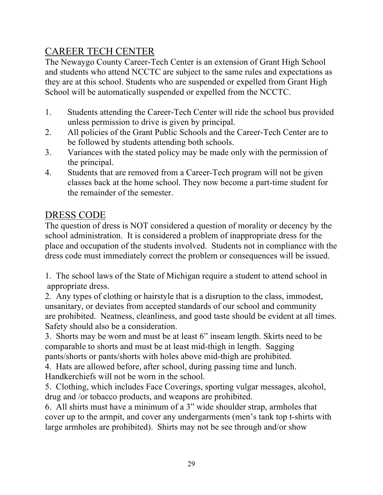# CAREER TECH CENTER

The Newaygo County Career-Tech Center is an extension of Grant High School and students who attend NCCTC are subject to the same rules and expectations as they are at this school. Students who are suspended or expelled from Grant High School will be automatically suspended or expelled from the NCCTC.

- 1. Students attending the Career-Tech Center will ride the school bus provided unless permission to drive is given by principal.
- 2. All policies of the Grant Public Schools and the Career-Tech Center are to be followed by students attending both schools.
- 3. Variances with the stated policy may be made only with the permission of the principal.
- 4. Students that are removed from a Career-Tech program will not be given classes back at the home school. They now become a part-time student for the remainder of the semester.

### DRESS CODE

The question of dress is NOT considered a question of morality or decency by the school administration. It is considered a problem of inappropriate dress for the place and occupation of the students involved. Students not in compliance with the dress code must immediately correct the problem or consequences will be issued.

1. The school laws of the State of Michigan require a student to attend school in appropriate dress.

2. Any types of clothing or hairstyle that is a disruption to the class, immodest, unsanitary, or deviates from accepted standards of our school and community are prohibited. Neatness, cleanliness, and good taste should be evident at all times. Safety should also be a consideration.

3. Shorts may be worn and must be at least 6" inseam length. Skirts need to be comparable to shorts and must be at least mid-thigh in length. Sagging pants/shorts or pants/shorts with holes above mid-thigh are prohibited.

4. Hats are allowed before, after school, during passing time and lunch. Handkerchiefs will not be worn in the school.

5. Clothing, which includes Face Coverings, sporting vulgar messages, alcohol, drug and /or tobacco products, and weapons are prohibited.

6. All shirts must have a minimum of a 3" wide shoulder strap, armholes that cover up to the armpit, and cover any undergarments (men's tank top t-shirts with large armholes are prohibited). Shirts may not be see through and/or show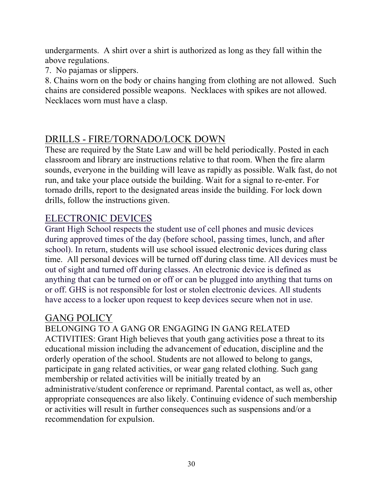undergarments. A shirt over a shirt is authorized as long as they fall within the above regulations.

7. No pajamas or slippers.

8. Chains worn on the body or chains hanging from clothing are not allowed. Such chains are considered possible weapons. Necklaces with spikes are not allowed. Necklaces worn must have a clasp.

### DRILLS - FIRE/TORNADO/LOCK DOWN

These are required by the State Law and will be held periodically. Posted in each classroom and library are instructions relative to that room. When the fire alarm sounds, everyone in the building will leave as rapidly as possible. Walk fast, do not run, and take your place outside the building. Wait for a signal to re-enter. For tornado drills, report to the designated areas inside the building. For lock down drills, follow the instructions given.

### ELECTRONIC DEVICES

Grant High School respects the student use of cell phones and music devices during approved times of the day (before school, passing times, lunch, and after school). In return, students will use school issued electronic devices during class time. All personal devices will be turned off during class time. All devices must be out of sight and turned off during classes. An electronic device is defined as anything that can be turned on or off or can be plugged into anything that turns on or off. GHS is not responsible for lost or stolen electronic devices. All students have access to a locker upon request to keep devices secure when not in use.

### GANG POLICY

BELONGING TO A GANG OR ENGAGING IN GANG RELATED ACTIVITIES: Grant High believes that youth gang activities pose a threat to its educational mission including the advancement of education, discipline and the orderly operation of the school. Students are not allowed to belong to gangs, participate in gang related activities, or wear gang related clothing. Such gang membership or related activities will be initially treated by an administrative/student conference or reprimand. Parental contact, as well as, other appropriate consequences are also likely. Continuing evidence of such membership or activities will result in further consequences such as suspensions and/or a recommendation for expulsion.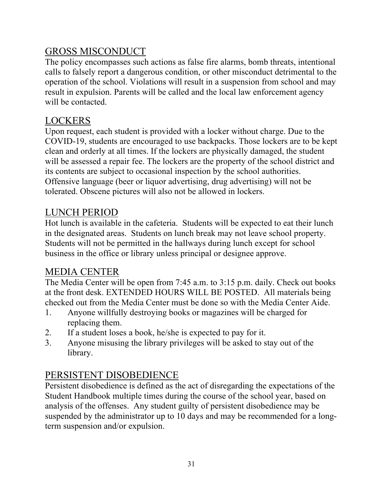# GROSS MISCONDUCT

The policy encompasses such actions as false fire alarms, bomb threats, intentional calls to falsely report a dangerous condition, or other misconduct detrimental to the operation of the school. Violations will result in a suspension from school and may result in expulsion. Parents will be called and the local law enforcement agency will be contacted.

# LOCKERS

Upon request, each student is provided with a locker without charge. Due to the COVID-19, students are encouraged to use backpacks. Those lockers are to be kept clean and orderly at all times. If the lockers are physically damaged, the student will be assessed a repair fee. The lockers are the property of the school district and its contents are subject to occasional inspection by the school authorities. Offensive language (beer or liquor advertising, drug advertising) will not be tolerated. Obscene pictures will also not be allowed in lockers.

# LUNCH PERIOD

Hot lunch is available in the cafeteria. Students will be expected to eat their lunch in the designated areas. Students on lunch break may not leave school property. Students will not be permitted in the hallways during lunch except for school business in the office or library unless principal or designee approve.

# MEDIA CENTER

The Media Center will be open from 7:45 a.m. to 3:15 p.m. daily. Check out books at the front desk. EXTENDED HOURS WILL BE POSTED. All materials being checked out from the Media Center must be done so with the Media Center Aide.

- 1. Anyone willfully destroying books or magazines will be charged for replacing them.
- 2. If a student loses a book, he/she is expected to pay for it.
- 3. Anyone misusing the library privileges will be asked to stay out of the library.

# PERSISTENT DISOBEDIENCE

Persistent disobedience is defined as the act of disregarding the expectations of the Student Handbook multiple times during the course of the school year, based on analysis of the offenses. Any student guilty of persistent disobedience may be suspended by the administrator up to 10 days and may be recommended for a longterm suspension and/or expulsion.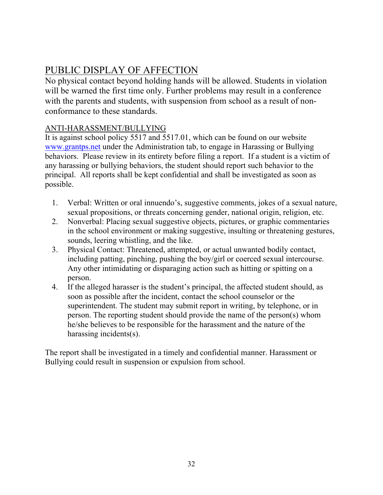# PUBLIC DISPLAY OF AFFECTION

No physical contact beyond holding hands will be allowed. Students in violation will be warned the first time only. Further problems may result in a conference with the parents and students, with suspension from school as a result of nonconformance to these standards.

#### ANTI-HARASSMENT/BULLYING

It is against school policy 5517 and 5517.01, which can be found on our website www.grantps.net under the Administration tab, to engage in Harassing or Bullying behaviors. Please review in its entirety before filing a report. If a student is a victim of any harassing or bullying behaviors, the student should report such behavior to the principal. All reports shall be kept confidential and shall be investigated as soon as possible.

- 1. Verbal: Written or oral innuendo's, suggestive comments, jokes of a sexual nature, sexual propositions, or threats concerning gender, national origin, religion, etc.
- 2. Nonverbal: Placing sexual suggestive objects, pictures, or graphic commentaries in the school environment or making suggestive, insulting or threatening gestures, sounds, leering whistling, and the like.
- 3. Physical Contact: Threatened, attempted, or actual unwanted bodily contact, including patting, pinching, pushing the boy/girl or coerced sexual intercourse. Any other intimidating or disparaging action such as hitting or spitting on a person.
- 4. If the alleged harasser is the student's principal, the affected student should, as soon as possible after the incident, contact the school counselor or the superintendent. The student may submit report in writing, by telephone, or in person. The reporting student should provide the name of the person(s) whom he/she believes to be responsible for the harassment and the nature of the harassing incidents(s).

The report shall be investigated in a timely and confidential manner. Harassment or Bullying could result in suspension or expulsion from school.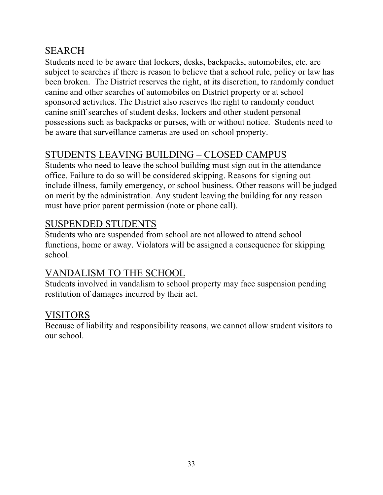# SEARCH

Students need to be aware that lockers, desks, backpacks, automobiles, etc. are subject to searches if there is reason to believe that a school rule, policy or law has been broken. The District reserves the right, at its discretion, to randomly conduct canine and other searches of automobiles on District property or at school sponsored activities. The District also reserves the right to randomly conduct canine sniff searches of student desks, lockers and other student personal possessions such as backpacks or purses, with or without notice. Students need to be aware that surveillance cameras are used on school property.

# STUDENTS LEAVING BUILDING – CLOSED CAMPUS

Students who need to leave the school building must sign out in the attendance office. Failure to do so will be considered skipping. Reasons for signing out include illness, family emergency, or school business. Other reasons will be judged on merit by the administration. Any student leaving the building for any reason must have prior parent permission (note or phone call).

# SUSPENDED STUDENTS

Students who are suspended from school are not allowed to attend school functions, home or away. Violators will be assigned a consequence for skipping school.

### VANDALISM TO THE SCHOOL

Students involved in vandalism to school property may face suspension pending restitution of damages incurred by their act.

### VISITORS

Because of liability and responsibility reasons, we cannot allow student visitors to our school.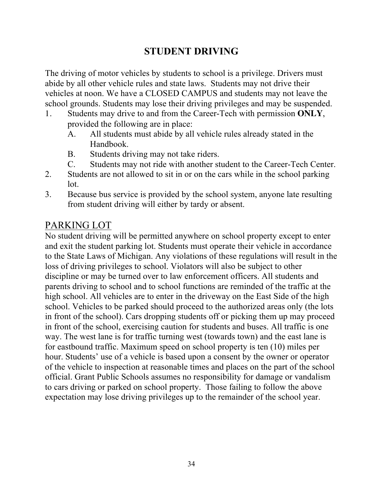# **STUDENT DRIVING**

The driving of motor vehicles by students to school is a privilege. Drivers must abide by all other vehicle rules and state laws. Students may not drive their vehicles at noon. We have a CLOSED CAMPUS and students may not leave the school grounds. Students may lose their driving privileges and may be suspended.

- 1. Students may drive to and from the Career-Tech with permission **ONLY**, provided the following are in place:
	- A. All students must abide by all vehicle rules already stated in the Handbook.
	- B. Students driving may not take riders.
	- C. Students may not ride with another student to the Career-Tech Center.
- 2. Students are not allowed to sit in or on the cars while in the school parking lot.
- 3. Because bus service is provided by the school system, anyone late resulting from student driving will either by tardy or absent.

### PARKING LOT

No student driving will be permitted anywhere on school property except to enter and exit the student parking lot. Students must operate their vehicle in accordance to the State Laws of Michigan. Any violations of these regulations will result in the loss of driving privileges to school. Violators will also be subject to other discipline or may be turned over to law enforcement officers. All students and parents driving to school and to school functions are reminded of the traffic at the high school. All vehicles are to enter in the driveway on the East Side of the high school. Vehicles to be parked should proceed to the authorized areas only (the lots in front of the school). Cars dropping students off or picking them up may proceed in front of the school, exercising caution for students and buses. All traffic is one way. The west lane is for traffic turning west (towards town) and the east lane is for eastbound traffic. Maximum speed on school property is ten (10) miles per hour. Students' use of a vehicle is based upon a consent by the owner or operator of the vehicle to inspection at reasonable times and places on the part of the school official. Grant Public Schools assumes no responsibility for damage or vandalism to cars driving or parked on school property. Those failing to follow the above expectation may lose driving privileges up to the remainder of the school year.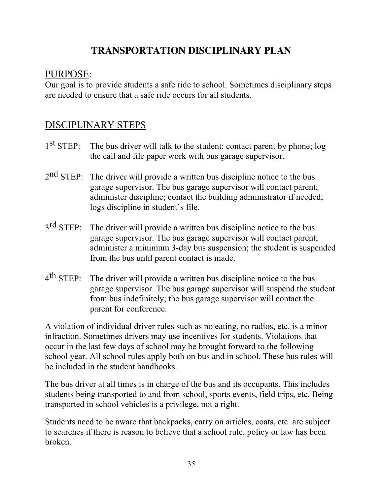# **TRANSPORTATION DISCIPLINARY PLAN**

### PURPOSE:

Our goal is to provide students a safe ride to school. Sometimes disciplinary steps are needed to ensure that a safe ride occurs for all students.

# DISCIPLINARY STEPS

- $1<sup>st</sup> STEP$ : The bus driver will talk to the student; contact parent by phone; log the call and file paper work with bus garage supervisor.
- $2<sup>nd</sup> STEP$ : The driver will provide a written bus discipline notice to the bus garage supervisor. The bus garage supervisor will contact parent; administer discipline; contact the building administrator if needed; logs discipline in student's file.
- 3<sup>rd</sup> STEP: The driver will provide a written bus discipline notice to the bus garage supervisor. The bus garage supervisor will contact parent; administer a minimum 3-day bus suspension; the student is suspended from the bus until parent contact is made.
- $4<sup>th</sup>$  STEP: The driver will provide a written bus discipline notice to the bus garage supervisor. The bus garage supervisor will suspend the student from bus indefinitely; the bus garage supervisor will contact the parent for conference.

A violation of individual driver rules such as no eating, no radios, etc. is a minor infraction. Sometimes drivers may use incentives for students. Violations that occur in the last few days of school may be brought forward to the following school year. All school rules apply both on bus and in school. These bus rules will be included in the student handbooks.

The bus driver at all times is in charge of the bus and its occupants. This includes students being transported to and from school, sports events, field trips, etc. Being transported in school vehicles is a privilege, not a right.

Students need to be aware that backpacks, carry on articles, coats, etc. are subject to searches if there is reason to believe that a school rule, policy or law has been broken.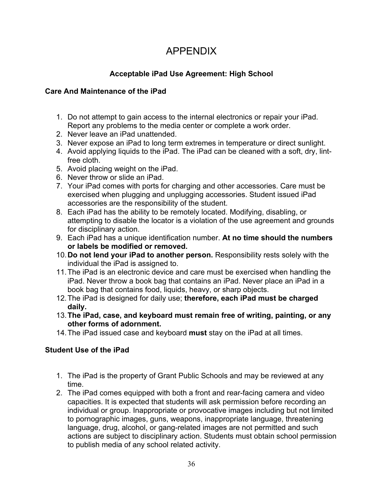# APPENDIX

#### **Acceptable iPad Use Agreement: High School**

#### **Care And Maintenance of the iPad**

- 1. Do not attempt to gain access to the internal electronics or repair your iPad. Report any problems to the media center or complete a work order.
- 2. Never leave an iPad unattended.
- 3. Never expose an iPad to long term extremes in temperature or direct sunlight.
- 4. Avoid applying liquids to the iPad. The iPad can be cleaned with a soft, dry, lintfree cloth.
- 5. Avoid placing weight on the iPad.
- 6. Never throw or slide an iPad.
- 7. Your iPad comes with ports for charging and other accessories. Care must be exercised when plugging and unplugging accessories. Student issued iPad accessories are the responsibility of the student.
- 8. Each iPad has the ability to be remotely located. Modifying, disabling, or attempting to disable the locator is a violation of the use agreement and grounds for disciplinary action.
- 9. Each iPad has a unique identification number. **At no time should the numbers or labels be modified or removed.**
- 10.**Do not lend your iPad to another person.** Responsibility rests solely with the individual the iPad is assigned to.
- 11.The iPad is an electronic device and care must be exercised when handling the iPad. Never throw a book bag that contains an iPad. Never place an iPad in a book bag that contains food, liquids, heavy, or sharp objects.
- 12.The iPad is designed for daily use; **therefore, each iPad must be charged daily.**
- 13.**The iPad, case, and keyboard must remain free of writing, painting, or any other forms of adornment.**
- 14.The iPad issued case and keyboard **must** stay on the iPad at all times.

#### **Student Use of the iPad**

- 1. The iPad is the property of Grant Public Schools and may be reviewed at any time.
- 2. The iPad comes equipped with both a front and rear-facing camera and video capacities. It is expected that students will ask permission before recording an individual or group. Inappropriate or provocative images including but not limited to pornographic images, guns, weapons, inappropriate language, threatening language, drug, alcohol, or gang-related images are not permitted and such actions are subject to disciplinary action. Students must obtain school permission to publish media of any school related activity.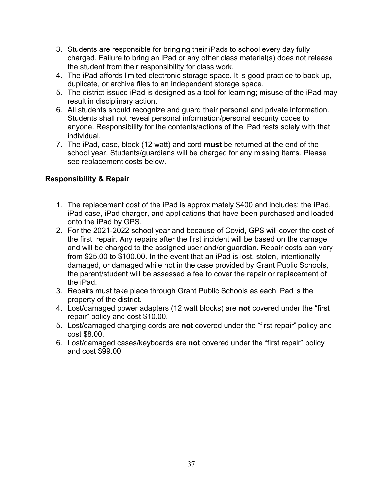- 3. Students are responsible for bringing their iPads to school every day fully charged. Failure to bring an iPad or any other class material(s) does not release the student from their responsibility for class work.
- 4. The iPad affords limited electronic storage space. It is good practice to back up, duplicate, or archive files to an independent storage space.
- 5. The district issued iPad is designed as a tool for learning; misuse of the iPad may result in disciplinary action.
- 6. All students should recognize and guard their personal and private information. Students shall not reveal personal information/personal security codes to anyone. Responsibility for the contents/actions of the iPad rests solely with that individual.
- 7. The iPad, case, block (12 watt) and cord **must** be returned at the end of the school year. Students/guardians will be charged for any missing items. Please see replacement costs below.

#### **Responsibility & Repair**

- 1. The replacement cost of the iPad is approximately \$400 and includes: the iPad, iPad case, iPad charger, and applications that have been purchased and loaded onto the iPad by GPS.
- 2. For the 2021-2022 school year and because of Covid, GPS will cover the cost of the first repair. Any repairs after the first incident will be based on the damage and will be charged to the assigned user and/or guardian. Repair costs can vary from \$25.00 to \$100.00. In the event that an iPad is lost, stolen, intentionally damaged, or damaged while not in the case provided by Grant Public Schools, the parent/student will be assessed a fee to cover the repair or replacement of the iPad.
- 3. Repairs must take place through Grant Public Schools as each iPad is the property of the district.
- 4. Lost/damaged power adapters (12 watt blocks) are **not** covered under the "first repair" policy and cost \$10.00.
- 5. Lost/damaged charging cords are **not** covered under the "first repair" policy and cost \$8.00.
- 6. Lost/damaged cases/keyboards are **not** covered under the "first repair" policy and cost \$99.00.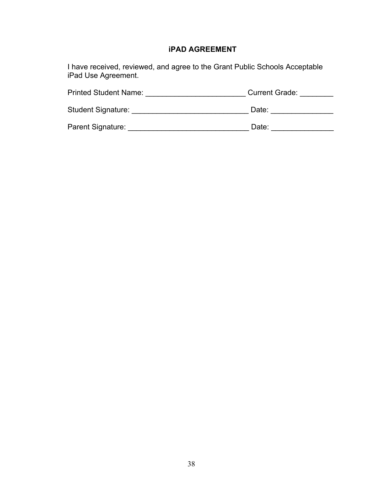#### **iPAD AGREEMENT**

I have received, reviewed, and agree to the Grant Public Schools Acceptable iPad Use Agreement.

| <b>Printed Student Name:</b> | <b>Current Grade:</b> |
|------------------------------|-----------------------|
| <b>Student Signature:</b>    | Date:                 |
| Parent Signature:            | Date:                 |